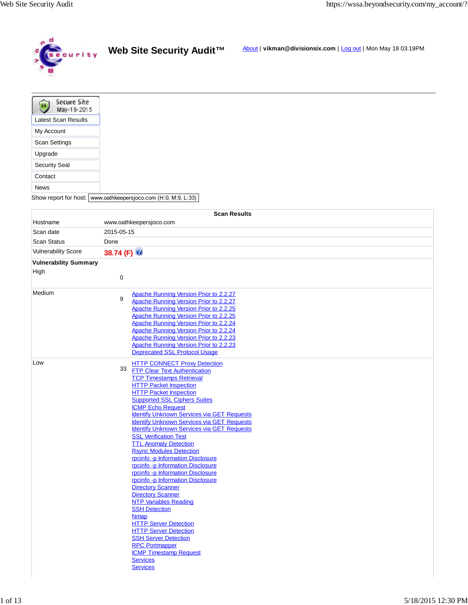

|  |  | Web Site Security Audit™ |  |
|--|--|--------------------------|--|
|--|--|--------------------------|--|

**ty Audit™** About | **vikman@divisionsix.com** | <u>Log out</u> | Mon May 18 03:19PM

| <b>Secure Site</b><br>May-18-2015 |  |  |
|-----------------------------------|--|--|
| <b>Latest Scan Results</b>        |  |  |
| My Account                        |  |  |
| <b>Scan Settings</b>              |  |  |
| Upgrade                           |  |  |
| <b>Security Seal</b>              |  |  |
| Contact                           |  |  |
| News                              |  |  |

Show report for host: www.oathkeepersjoco.com (H:0, M:9, L:33)

|                              | <b>Scan Results</b>                               |
|------------------------------|---------------------------------------------------|
| Hostname                     | www.oathkeepersjoco.com                           |
| Scan date                    | 2015-05-15                                        |
| <b>Scan Status</b>           | Done                                              |
| <b>Vulnerability Score</b>   | 38.74 (F)                                         |
|                              |                                                   |
| <b>Vulnerability Summary</b> |                                                   |
| High                         | $\pmb{0}$                                         |
|                              |                                                   |
| Medium                       | Apache Running Version Prior to 2.2.27            |
|                              | 9<br>Apache Running Version Prior to 2.2.27       |
|                              | Apache Running Version Prior to 2.2.25            |
|                              | Apache Running Version Prior to 2.2.25            |
|                              | Apache Running Version Prior to 2.2.24            |
|                              | Apache Running Version Prior to 2.2.24            |
|                              | Apache Running Version Prior to 2.2.23            |
|                              | Apache Running Version Prior to 2.2.23            |
|                              | <b>Deprecated SSL Protocol Usage</b>              |
| Low                          | <b>HTTP CONNECT Proxy Detection</b>               |
|                              | 33<br><b>FTP Clear Text Authentication</b>        |
|                              | <b>TCP Timestamps Retrieval</b>                   |
|                              | <b>HTTP Packet Inspection</b>                     |
|                              | <b>HTTP Packet Inspection</b>                     |
|                              | <b>Supported SSL Ciphers Suites</b>               |
|                              | <b>ICMP Echo Request</b>                          |
|                              | <b>Identify Unknown Services via GET Requests</b> |
|                              | <b>Identify Unknown Services via GET Requests</b> |
|                              | <b>Identify Unknown Services via GET Requests</b> |
|                              | <b>SSL Verification Test</b>                      |
|                              | <b>TTL Anomaly Detection</b>                      |
|                              | <b>Rsync Modules Detection</b>                    |
|                              | rpcinfo -p Information Disclosure                 |
|                              | rpcinfo-p Information Disclosure                  |
|                              | rpcinfo-p Information Disclosure                  |
|                              | rpcinfo -p Information Disclosure                 |
|                              | <b>Directory Scanner</b>                          |
|                              | <b>Directory Scanner</b>                          |
|                              | <b>NTP Variables Reading</b>                      |
|                              | <b>SSH Detection</b><br><b>Nmap</b>               |
|                              | <b>HTTP Server Detection</b>                      |
|                              | <b>HTTP Server Detection</b>                      |
|                              | <b>SSH Server Detection</b>                       |
|                              | <b>RPC Portmapper</b>                             |
|                              | <b>ICMP Timestamp Request</b>                     |
|                              | <b>Services</b>                                   |
|                              | <b>Services</b>                                   |
|                              |                                                   |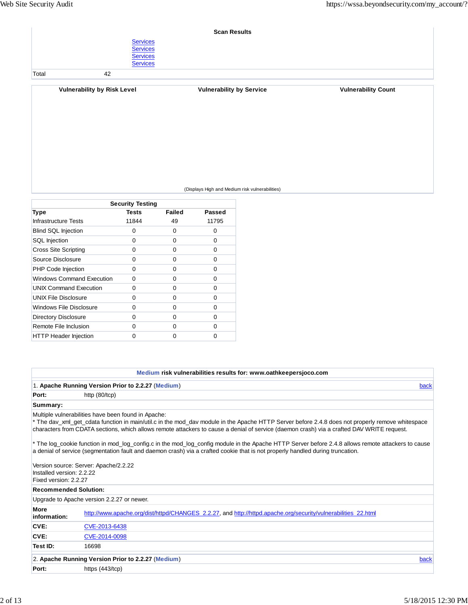|       |                                                                          | <b>Scan Results</b>             |                            |
|-------|--------------------------------------------------------------------------|---------------------------------|----------------------------|
|       | <b>Services</b><br><b>Services</b><br><b>Services</b><br><b>Services</b> |                                 |                            |
| Total | 42                                                                       |                                 |                            |
|       | <b>Vulnerability by Risk Level</b>                                       | <b>Vulnerability by Service</b> | <b>Vulnerability Count</b> |

### (Displays High and Medium risk vulnerabilities)

| <b>Security Testing</b>          |       |        |        |
|----------------------------------|-------|--------|--------|
| Type                             | Tests | Failed | Passed |
| Infrastructure Tests             | 11844 | 49     | 11795  |
| <b>Blind SQL Injection</b>       | 0     | 0      | 0      |
| <b>SQL</b> Injection             | 0     | 0      | 0      |
| <b>Cross Site Scripting</b>      | 0     | 0      | 0      |
| Source Disclosure                | 0     | 0      | 0      |
| PHP Code Injection               | ŋ     | 0      | O      |
| <b>Windows Command Execution</b> | 0     | 0      | 0      |
| <b>UNIX Command Execution</b>    | O     | 0      | 0      |
| <b>UNIX File Disclosure</b>      | ŋ     | 0      | 0      |
| Windows File Disclosure          | O     | 0      | 0      |
| <b>Directory Disclosure</b>      | ŋ     | 0      | 0      |
| Remote File Inclusion            | n     | 0      | 0      |
| <b>HTTP Header Injection</b>     | ი     | O      | ი      |

# **Medium risk vulnerabilities results for: www.oathkeepersjoco.com**

|                                                    | 1. Apache Running Version Prior to 2.2.27 (Medium)                                                                                                                                                                                                                                                                                                    | back |
|----------------------------------------------------|-------------------------------------------------------------------------------------------------------------------------------------------------------------------------------------------------------------------------------------------------------------------------------------------------------------------------------------------------------|------|
| Port:                                              | http $(80/10)$                                                                                                                                                                                                                                                                                                                                        |      |
| Summary:                                           |                                                                                                                                                                                                                                                                                                                                                       |      |
|                                                    | Multiple vulnerabilities have been found in Apache:<br>* The dav_xml_get_cdata function in main/util.c in the mod_dav module in the Apache HTTP Server before 2.4.8 does not properly remove whitespace<br>characters from CDATA sections, which allows remote attackers to cause a denial of service (daemon crash) via a crafted DAV WRITE request. |      |
|                                                    | * The log_cookie function in mod_log_config.c in the mod_log_config module in the Apache HTTP Server before 2.4.8 allows remote attackers to cause<br>a denial of service (segmentation fault and daemon crash) via a crafted cookie that is not properly handled during truncation.                                                                  |      |
| Installed version: 2.2.22<br>Fixed version: 2.2.27 | Version source: Server: Apache/2.2.22                                                                                                                                                                                                                                                                                                                 |      |
| <b>Recommended Solution:</b>                       |                                                                                                                                                                                                                                                                                                                                                       |      |
|                                                    | Upgrade to Apache version 2.2.27 or newer.                                                                                                                                                                                                                                                                                                            |      |
| <b>More</b><br>information:                        | http://www.apache.org/dist/httpd/CHANGES_2.2.27, and http://httpd.apache.org/security/vulnerabilities_22.html                                                                                                                                                                                                                                         |      |
| CVE:                                               | CVE-2013-6438                                                                                                                                                                                                                                                                                                                                         |      |
| CVE:                                               | CVE-2014-0098                                                                                                                                                                                                                                                                                                                                         |      |
| Test ID:                                           | 16698                                                                                                                                                                                                                                                                                                                                                 |      |
|                                                    | 2. Apache Running Version Prior to 2.2.27 (Medium)                                                                                                                                                                                                                                                                                                    | back |
| Port:                                              | https $(443/10)$                                                                                                                                                                                                                                                                                                                                      |      |
|                                                    |                                                                                                                                                                                                                                                                                                                                                       |      |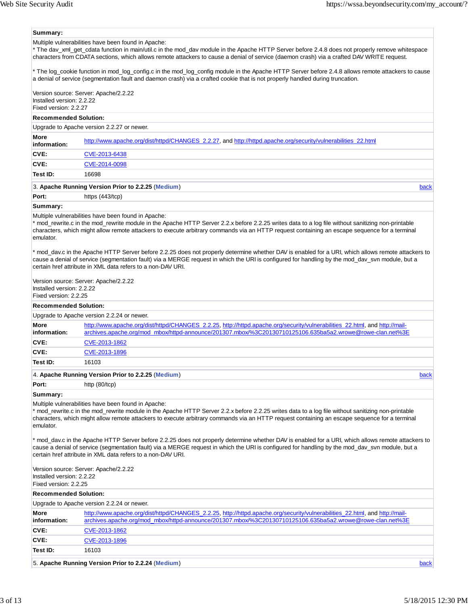#### **Summary:**

Multiple vulnerabilities have been found in Apache:

\* The dav\_xml\_get\_cdata function in main/util.c in the mod\_dav module in the Apache HTTP Server before 2.4.8 does not properly remove whitespace characters from CDATA sections, which allows remote attackers to cause a denial of service (daemon crash) via a crafted DAV WRITE request.

\* The log\_cookie function in mod\_log\_config.c in the mod\_log\_config module in the Apache HTTP Server before 2.4.8 allows remote attackers to cause a denial of service (segmentation fault and daemon crash) via a crafted cookie that is not properly handled during truncation.

Version source: Server: Apache/2.2.22 Installed version: 2.2.22 Fixed version: 2.2.27

#### **Recommended Solution:**

Upgrade to Apache version 2.2.27 or newer.

| <b>More</b><br>information: | http://www.apache.org/dist/httpd/CHANGES_2.2.27, and http://httpd.apache.org/security/vulnerabilities_22.html |
|-----------------------------|---------------------------------------------------------------------------------------------------------------|
| CVE:                        | CVE-2013-6438                                                                                                 |
| CVE:                        | CVE-2014-0098                                                                                                 |
| Test ID:                    | 16698                                                                                                         |
| .                           |                                                                                                               |

#### 3. **Apache Running Version Prior to 2.2.25** (**Medium**) back

Port: https (443/tcp)

#### **Summary:**

Multiple vulnerabilities have been found in Apache:

\* mod\_rewrite.c in the mod\_rewrite module in the Apache HTTP Server 2.2.x before 2.2.25 writes data to a log file without sanitizing non-printable characters, which might allow remote attackers to execute arbitrary commands via an HTTP request containing an escape sequence for a terminal emulator.

\* mod\_dav.c in the Apache HTTP Server before 2.2.25 does not properly determine whether DAV is enabled for a URI, which allows remote attackers to cause a denial of service (segmentation fault) via a MERGE request in which the URI is configured for handling by the mod\_dav\_svn module, but a certain href attribute in XML data refers to a non-DAV URI.

Version source: Server: Apache/2.2.22 Installed version: 2.2.22

Fixed version: 2.2.25

### 4. **Apache Running Version Prior to 2.2.25** (**Medium**) back **Recommended Solution:** Upgrade to Apache version 2.2.24 or newer. **More information:** http://www.apache.org/dist/httpd/CHANGES\_2.2.25, http://httpd.apache.org/security/vulnerabilities\_22.html, and http://mailarchives.apache.org/mod\_mbox/httpd-announce/201307.mbox/%3C20130710125106.635ba5a2.wrowe@rowe-clan.net%3E **CVE:** CVE-2013-1862 **CVE:** CVE-2013-1896 **Test ID:** 16103

**Port:** http (80/tcp)

**Summary:**

Multiple vulnerabilities have been found in Apache:

\* mod\_rewrite.c in the mod\_rewrite module in the Apache HTTP Server 2.2.x before 2.2.25 writes data to a log file without sanitizing non-printable characters, which might allow remote attackers to execute arbitrary commands via an HTTP request containing an escape sequence for a terminal emulator.

\* mod\_dav.c in the Apache HTTP Server before 2.2.25 does not properly determine whether DAV is enabled for a URI, which allows remote attackers to cause a denial of service (segmentation fault) via a MERGE request in which the URI is configured for handling by the mod\_dav\_svn module, but a certain href attribute in XML data refers to a non-DAV URI.

Version source: Server: Apache/2.2.22 Installed version: 2.2.22 Fixed version: 2.2.25

#### **Recommended Solution:**

|                             | Upgrade to Apache version 2.2.24 or newer.                                                                                                                                                                                               |  |
|-----------------------------|------------------------------------------------------------------------------------------------------------------------------------------------------------------------------------------------------------------------------------------|--|
| <b>More</b><br>information: | http://www.apache.org/dist/httpd/CHANGES_2.2.25, http://httpd.apache.org/security/vulnerabilities_22.html, and http://mail-<br>archives.apache.org/mod_mbox/httpd-announce/201307.mbox/%3C20130710125106.635ba5a2.wrowe@rowe-clan.net%3E |  |
| CVE:                        | CVE-2013-1862                                                                                                                                                                                                                            |  |
| CVE:                        | CVE-2013-1896                                                                                                                                                                                                                            |  |
| Test ID:                    | 16103                                                                                                                                                                                                                                    |  |
|                             |                                                                                                                                                                                                                                          |  |

5. **Apache Running Version Prior to 2.2.24** (**Medium**) back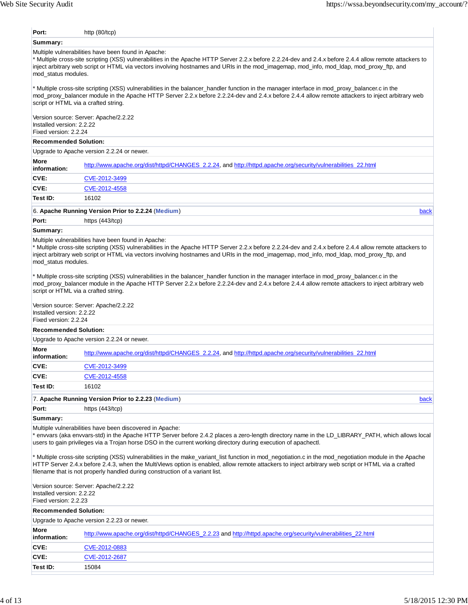| Port:                                              | http $(80/10)$                                                                                                                                                                                                                                                                                                                                                                                                                                                                                                                                                                |
|----------------------------------------------------|-------------------------------------------------------------------------------------------------------------------------------------------------------------------------------------------------------------------------------------------------------------------------------------------------------------------------------------------------------------------------------------------------------------------------------------------------------------------------------------------------------------------------------------------------------------------------------|
| Summary:                                           |                                                                                                                                                                                                                                                                                                                                                                                                                                                                                                                                                                               |
| mod status modules.                                | Multiple vulnerabilities have been found in Apache:<br>* Multiple cross-site scripting (XSS) vulnerabilities in the Apache HTTP Server 2.2.x before 2.2.24-dev and 2.4.x before 2.4.4 allow remote attackers to<br>inject arbitrary web script or HTML via vectors involving hostnames and URIs in the mod_imagemap, mod_info, mod_Idap, mod_proxy_ftp, and                                                                                                                                                                                                                   |
|                                                    | * Multiple cross-site scripting (XSS) vulnerabilities in the balancer_handler function in the manager interface in mod_proxy_balancer.c in the<br>mod proxy balancer module in the Apache HTTP Server 2.2.x before 2.2.24-dev and 2.4.x before 2.4.4 allow remote attackers to inject arbitrary web<br>script or HTML via a crafted string.                                                                                                                                                                                                                                   |
| Installed version: 2.2.22<br>Fixed version: 2.2.24 | Version source: Server: Apache/2.2.22                                                                                                                                                                                                                                                                                                                                                                                                                                                                                                                                         |
| <b>Recommended Solution:</b>                       |                                                                                                                                                                                                                                                                                                                                                                                                                                                                                                                                                                               |
|                                                    | Upgrade to Apache version 2.2.24 or newer.                                                                                                                                                                                                                                                                                                                                                                                                                                                                                                                                    |
| More<br>information:                               | http://www.apache.org/dist/httpd/CHANGES_2.2.24, and http://httpd.apache.org/security/vulnerabilities_22.html                                                                                                                                                                                                                                                                                                                                                                                                                                                                 |
| CVE:                                               | CVE-2012-3499                                                                                                                                                                                                                                                                                                                                                                                                                                                                                                                                                                 |
| CVE:                                               | CVE-2012-4558                                                                                                                                                                                                                                                                                                                                                                                                                                                                                                                                                                 |
| Test ID:                                           | 16102                                                                                                                                                                                                                                                                                                                                                                                                                                                                                                                                                                         |
|                                                    | 6. Apache Running Version Prior to 2.2.24 (Medium)<br>back                                                                                                                                                                                                                                                                                                                                                                                                                                                                                                                    |
| Port:                                              | https $(443/top)$                                                                                                                                                                                                                                                                                                                                                                                                                                                                                                                                                             |
| Summary:                                           |                                                                                                                                                                                                                                                                                                                                                                                                                                                                                                                                                                               |
| mod_status modules.<br>Installed version: 2.2.22   | inject arbitrary web script or HTML via vectors involving hostnames and URIs in the mod_imagemap, mod_info, mod_ldap, mod_proxy_ftp, and<br>* Multiple cross-site scripting (XSS) vulnerabilities in the balancer_handler function in the manager interface in mod_proxy_balancer.c in the<br>mod_proxy_balancer module in the Apache HTTP Server 2.2.x before 2.2.24-dev and 2.4.x before 2.4.4 allow remote attackers to inject arbitrary web<br>script or HTML via a crafted string.<br>Version source: Server: Apache/2.2.22                                              |
| Fixed version: 2.2.24                              |                                                                                                                                                                                                                                                                                                                                                                                                                                                                                                                                                                               |
| <b>Recommended Solution:</b>                       |                                                                                                                                                                                                                                                                                                                                                                                                                                                                                                                                                                               |
|                                                    | Upgrade to Apache version 2.2.24 or newer.                                                                                                                                                                                                                                                                                                                                                                                                                                                                                                                                    |
| More<br>information:                               | http://www.apache.org/dist/httpd/CHANGES_2.2.24, and http://httpd.apache.org/security/vulnerabilities_22.html                                                                                                                                                                                                                                                                                                                                                                                                                                                                 |
| CVE:                                               | CVE-2012-3499                                                                                                                                                                                                                                                                                                                                                                                                                                                                                                                                                                 |
| CVE:                                               | CVE-2012-4558                                                                                                                                                                                                                                                                                                                                                                                                                                                                                                                                                                 |
| Test ID:                                           | 16102                                                                                                                                                                                                                                                                                                                                                                                                                                                                                                                                                                         |
|                                                    | 7. Apache Running Version Prior to 2.2.23 (Medium)<br>back                                                                                                                                                                                                                                                                                                                                                                                                                                                                                                                    |
| Port:                                              | https $(443/top)$                                                                                                                                                                                                                                                                                                                                                                                                                                                                                                                                                             |
| Summary:                                           |                                                                                                                                                                                                                                                                                                                                                                                                                                                                                                                                                                               |
|                                                    |                                                                                                                                                                                                                                                                                                                                                                                                                                                                                                                                                                               |
|                                                    | Multiple vulnerabilities have been discovered in Apache:<br>users to gain privileges via a Trojan horse DSO in the current working directory during execution of apachectl.<br>* Multiple cross-site scripting (XSS) vulnerabilities in the make_variant_list function in mod_negotiation.c in the mod_negotiation module in the Apache<br>HTTP Server 2.4.x before 2.4.3, when the MultiViews option is enabled, allow remote attackers to inject arbitrary web script or HTML via a crafted<br>filename that is not properly handled during construction of a variant list. |
| Installed version: 2.2.22<br>Fixed version: 2.2.23 | Version source: Server: Apache/2.2.22                                                                                                                                                                                                                                                                                                                                                                                                                                                                                                                                         |
| <b>Recommended Solution:</b>                       |                                                                                                                                                                                                                                                                                                                                                                                                                                                                                                                                                                               |
|                                                    | Upgrade to Apache version 2.2.23 or newer.                                                                                                                                                                                                                                                                                                                                                                                                                                                                                                                                    |
| More<br>information:                               | http://www.apache.org/dist/httpd/CHANGES_2.2.23 and http://httpd.apache.org/security/vulnerabilities_22.html                                                                                                                                                                                                                                                                                                                                                                                                                                                                  |
| CVE:                                               | * envvars (aka envvars-std) in the Apache HTTP Server before 2.4.2 places a zero-length directory name in the LD_LIBRARY_PATH, which allows local<br>CVE-2012-0883                                                                                                                                                                                                                                                                                                                                                                                                            |

**Test ID:** 15084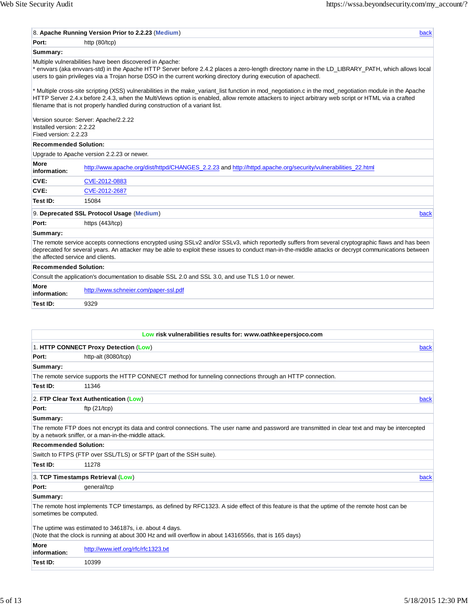|                                                    | 8. Apache Running Version Prior to 2.2.23 (Medium)                                                                                                                                                                                                                                                                                                                                             | back |
|----------------------------------------------------|------------------------------------------------------------------------------------------------------------------------------------------------------------------------------------------------------------------------------------------------------------------------------------------------------------------------------------------------------------------------------------------------|------|
| Port:                                              | http (80/tcp)                                                                                                                                                                                                                                                                                                                                                                                  |      |
| Summary:                                           |                                                                                                                                                                                                                                                                                                                                                                                                |      |
|                                                    | Multiple vulnerabilities have been discovered in Apache:<br>* envvars (aka envvars-std) in the Apache HTTP Server before 2.4.2 places a zero-length directory name in the LD_LIBRARY_PATH, which allows local<br>users to gain privileges via a Trojan horse DSO in the current working directory during execution of apachectl.                                                               |      |
|                                                    | * Multiple cross-site scripting (XSS) vulnerabilities in the make_variant_list function in mod_negotiation.c in the mod_negotiation module in the Apache<br>HTTP Server 2.4.x before 2.4.3, when the MultiViews option is enabled, allow remote attackers to inject arbitrary web script or HTML via a crafted<br>filename that is not properly handled during construction of a variant list. |      |
| Installed version: 2.2.22<br>Fixed version: 2.2.23 | Version source: Server: Apache/2.2.22                                                                                                                                                                                                                                                                                                                                                          |      |
| <b>Recommended Solution:</b>                       |                                                                                                                                                                                                                                                                                                                                                                                                |      |
|                                                    | Upgrade to Apache version 2.2.23 or newer.                                                                                                                                                                                                                                                                                                                                                     |      |
| More<br>information:                               | http://www.apache.org/dist/httpd/CHANGES 2.2.23 and http://httpd.apache.org/security/vulnerabilities 22.html                                                                                                                                                                                                                                                                                   |      |
| CVE:                                               | CVE-2012-0883                                                                                                                                                                                                                                                                                                                                                                                  |      |
| CVE:                                               | CVE-2012-2687                                                                                                                                                                                                                                                                                                                                                                                  |      |
| Test ID:                                           | 15084                                                                                                                                                                                                                                                                                                                                                                                          |      |
|                                                    | 9. Deprecated SSL Protocol Usage (Medium)                                                                                                                                                                                                                                                                                                                                                      | back |
| Port:                                              | https (443/tcp)                                                                                                                                                                                                                                                                                                                                                                                |      |
| Summary:                                           |                                                                                                                                                                                                                                                                                                                                                                                                |      |
| the affected service and clients.                  | The remote service accepts connections encrypted using SSLv2 and/or SSLv3, which reportedly suffers from several cryptographic flaws and has been<br>deprecated for several years. An attacker may be able to exploit these issues to conduct man-in-the-middle attacks or decrypt communications between                                                                                      |      |
| <b>Recommended Solution:</b>                       |                                                                                                                                                                                                                                                                                                                                                                                                |      |
|                                                    | Consult the application's documentation to disable SSL 2.0 and SSL 3.0, and use TLS 1.0 or newer.                                                                                                                                                                                                                                                                                              |      |
| More<br>information:                               | http://www.schneier.com/paper-ssl.pdf                                                                                                                                                                                                                                                                                                                                                          |      |
| Test ID:                                           | 9329                                                                                                                                                                                                                                                                                                                                                                                           |      |
|                                                    |                                                                                                                                                                                                                                                                                                                                                                                                |      |
|                                                    | Low risk vulnerabilities results for: www.oathkeepersjoco.com                                                                                                                                                                                                                                                                                                                                  |      |
|                                                    | 1. HTTP CONNECT Proxy Detection (Low)                                                                                                                                                                                                                                                                                                                                                          | back |
| Port:                                              | http-alt (8080/tcp)                                                                                                                                                                                                                                                                                                                                                                            |      |
| Summary:                                           |                                                                                                                                                                                                                                                                                                                                                                                                |      |
|                                                    | The remote service supports the HTTP CONNECT method for tunneling connections through an HTTP connection.                                                                                                                                                                                                                                                                                      |      |
| Test ID:                                           | 11346                                                                                                                                                                                                                                                                                                                                                                                          |      |

2. **FTP Clear Text Authentication** (**Low**) back

**Port:** ftp (21/tcp)

# **Summary:**

The remote FTP does not encrypt its data and control connections. The user name and password are transmitted in clear text and may be intercepted by a network sniffer, or a man-in-the-middle attack.

## **Recommended Solution:**

Switch to FTPS (FTP over SSL/TLS) or SFTP (part of the SSH suite).

**Test ID:** 11278

# 3. **TCP Timestamps Retrieval** (**Low**) back

Port: **general/tcp** 

# **Summary:**

The remote host implements TCP timestamps, as defined by RFC1323. A side effect of this feature is that the uptime of the remote host can be sometimes be computed.

The uptime was estimated to 346187s, i.e. about 4 days. (Note that the clock is running at about 300 Hz and will overflow in about 14316556s, that is 165 days)

| More<br>inn·<br>.infr | nttr<br>23.IXI |
|-----------------------|----------------|
| Test ID:              | 0399           |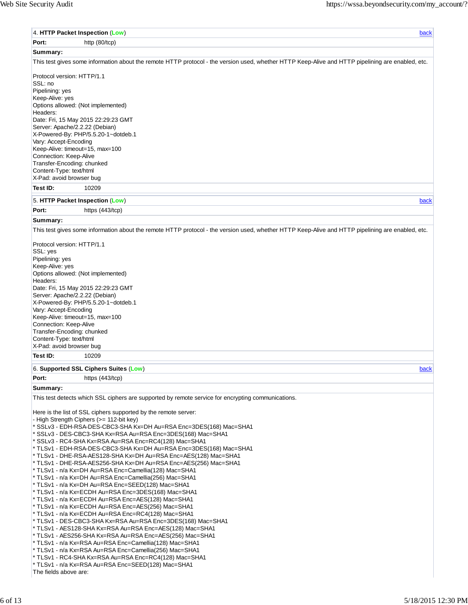|                                                          | 4. HTTP Packet Inspection (Low)<br>back                                                                                                           |
|----------------------------------------------------------|---------------------------------------------------------------------------------------------------------------------------------------------------|
| Port:                                                    | http $(80/10)$                                                                                                                                    |
| Summary:                                                 |                                                                                                                                                   |
|                                                          | This test gives some information about the remote HTTP protocol - the version used, whether HTTP Keep-Alive and HTTP pipelining are enabled, etc. |
| Protocol version: HTTP/1.1<br>SSL: no<br>Pipelining: yes |                                                                                                                                                   |
| Keep-Alive: yes                                          | Options allowed: (Not implemented)                                                                                                                |
| Headers:                                                 |                                                                                                                                                   |
| Server: Apache/2.2.22 (Debian)                           | Date: Fri, 15 May 2015 22:29:23 GMT<br>X-Powered-By: PHP/5.5.20-1~dotdeb.1                                                                        |
| Vary: Accept-Encoding                                    | Keep-Alive: timeout=15, max=100                                                                                                                   |
| Connection: Keep-Alive                                   |                                                                                                                                                   |
| Transfer-Encoding: chunked<br>Content-Type: text/html    |                                                                                                                                                   |
| X-Pad: avoid browser bug                                 |                                                                                                                                                   |
| Test ID:                                                 | 10209                                                                                                                                             |
|                                                          | 5. HTTP Packet Inspection (Low)<br>back                                                                                                           |
| Port:                                                    | https (443/tcp)                                                                                                                                   |
| Summary:                                                 |                                                                                                                                                   |
|                                                          | This test gives some information about the remote HTTP protocol - the version used, whether HTTP Keep-Alive and HTTP pipelining are enabled, etc. |
| Protocol version: HTTP/1.1                               |                                                                                                                                                   |
| SSL: yes<br>Pipelining: yes                              |                                                                                                                                                   |
| Keep-Alive: yes                                          |                                                                                                                                                   |
| Headers:                                                 | Options allowed: (Not implemented)                                                                                                                |
|                                                          | Date: Fri, 15 May 2015 22:29:23 GMT                                                                                                               |
| Server: Apache/2.2.22 (Debian)                           |                                                                                                                                                   |
|                                                          | X-Powered-By: PHP/5.5.20-1~dotdeb.1                                                                                                               |
| Vary: Accept-Encoding                                    | Keep-Alive: timeout=15, max=100                                                                                                                   |
| Connection: Keep-Alive                                   |                                                                                                                                                   |
| Transfer-Encoding: chunked                               |                                                                                                                                                   |
| Content-Type: text/html                                  |                                                                                                                                                   |
| X-Pad: avoid browser bug                                 |                                                                                                                                                   |
| Test ID:                                                 | 10209                                                                                                                                             |
|                                                          | 6. Supported SSL Ciphers Suites (Low)<br>back                                                                                                     |
| Port:                                                    | https $(443/10)$                                                                                                                                  |
| Summary:                                                 |                                                                                                                                                   |
|                                                          | This test detects which SSL ciphers are supported by remote service for encrypting communications.                                                |
|                                                          | Here is the list of SSL ciphers supported by the remote server:<br>- High Strength Ciphers (>= 112-bit key)                                       |
|                                                          | * SSLv3 - EDH-RSA-DES-CBC3-SHA Kx=DH Au=RSA Enc=3DES(168) Mac=SHA1                                                                                |
|                                                          | * SSLv3 - DES-CBC3-SHA Kx=RSA Au=RSA Enc=3DES(168) Mac=SHA1                                                                                       |
|                                                          | * SSLv3 - RC4-SHA Kx=RSA Au=RSA Enc=RC4(128) Mac=SHA1                                                                                             |
|                                                          | * TLSv1 - EDH-RSA-DES-CBC3-SHA Kx=DH Au=RSA Enc=3DES(168) Mac=SHA1                                                                                |
|                                                          | * TLSv1 - DHE-RSA-AES128-SHA Kx=DH Au=RSA Enc=AES(128)                    Mac=SHA1                                                                |
|                                                          | * TLSv1 - DHE-RSA-AES256-SHA Kx=DH Au=RSA Enc=AES(256)                    Mac=SHA1                                                                |
|                                                          | * TLSv1 - n/a Kx=DH Au=RSA Enc=Camellia(128) Mac=SHA1<br>* TLSv1 - n/a Kx=DH Au=RSA Enc=Camellia(256) Mac=SHA1                                    |
|                                                          | * TLSv1 - n/a Kx=DH Au=RSA Enc=SEED(128) Mac=SHA1                                                                                                 |
|                                                          | * TLSv1 - n/a Kx=ECDH Au=RSA Enc=3DES(168) Mac=SHA1                                                                                               |
|                                                          | * TLSv1 - n/a Kx=ECDH Au=RSA Enc=AES(128) Mac=SHA1                                                                                                |
|                                                          | * TLSv1 - n/a Kx=ECDH Au=RSA Enc=AES(256) Mac=SHA1                                                                                                |
|                                                          | * TLSv1 - n/a Kx=ECDH Au=RSA Enc=RC4(128) Mac=SHA1<br>* TLSv1 - DES-CBC3-SHA Kx=RSA Au=RSA Enc=3DES(168) Mac=SHA1                                 |
|                                                          | * TLSv1 - AES128-SHA Kx=RSA Au=RSA Enc=AES(128) Mac=SHA1                                                                                          |
|                                                          | * TLSv1 - AES256-SHA Kx=RSA Au=RSA Enc=AES(256) Mac=SHA1                                                                                          |
|                                                          |                                                                                                                                                   |
|                                                          | * TLSv1 - n/a Kx=RSA Au=RSA Enc=Camellia(128) Mac=SHA1                                                                                            |
|                                                          | * TLSv1 - n/a Kx=RSA Au=RSA Enc=Camellia(256) Mac=SHA1                                                                                            |
|                                                          | * TLSv1 - RC4-SHA Kx=RSA Au=RSA Enc=RC4(128) Mac=SHA1                                                                                             |
| The fields above are:                                    | * TLSv1 - n/a Kx=RSA Au=RSA Enc=SEED(128) Mac=SHA1                                                                                                |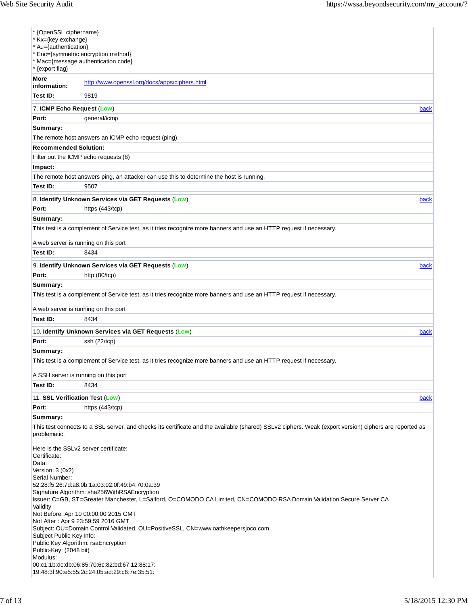| * Kx={key exchange}<br>* Au={authentication}<br>* {export flag} | * {OpenSSL ciphername}<br>Enc={symmetric encryption method}<br>* Mac={message authentication code}                                                                                                    |      |
|-----------------------------------------------------------------|-------------------------------------------------------------------------------------------------------------------------------------------------------------------------------------------------------|------|
| More<br>information:                                            | http://www.openssl.org/docs/apps/ciphers.html                                                                                                                                                         |      |
| Test ID:                                                        | 9819                                                                                                                                                                                                  |      |
| 7. ICMP Echo Request (Low)                                      |                                                                                                                                                                                                       | back |
| Port:                                                           | general/icmp                                                                                                                                                                                          |      |
| Summary:                                                        |                                                                                                                                                                                                       |      |
|                                                                 | The remote host answers an ICMP echo request (ping).                                                                                                                                                  |      |
| <b>Recommended Solution:</b>                                    |                                                                                                                                                                                                       |      |
|                                                                 | Filter out the ICMP echo requests (8)                                                                                                                                                                 |      |
| Impact:                                                         |                                                                                                                                                                                                       |      |
|                                                                 | The remote host answers ping, an attacker can use this to determine the host is running.                                                                                                              |      |
| Test ID:                                                        | 9507                                                                                                                                                                                                  |      |
|                                                                 | 8. Identify Unknown Services via GET Requests (Low)                                                                                                                                                   | back |
| Port:                                                           | https (443/tcp)                                                                                                                                                                                       |      |
| Summary:                                                        |                                                                                                                                                                                                       |      |
|                                                                 | This test is a complement of Service test, as it tries recognize more banners and use an HTTP request if necessary.                                                                                   |      |
|                                                                 | A web server is running on this port                                                                                                                                                                  |      |
| Test ID:                                                        | 8434                                                                                                                                                                                                  |      |
|                                                                 | 9. Identify Unknown Services via GET Requests (Low)                                                                                                                                                   | back |
| Port:                                                           | http (80/tcp)                                                                                                                                                                                         |      |
|                                                                 | This test is a complement of Service test, as it tries recognize more banners and use an HTTP request if necessary.<br>A web server is running on this port                                           |      |
| Test ID:                                                        | 8434                                                                                                                                                                                                  |      |
|                                                                 |                                                                                                                                                                                                       |      |
| Port:                                                           | 10. Identify Unknown Services via GET Requests (Low)<br>ssh (22/tcp)                                                                                                                                  | back |
| Summary:                                                        |                                                                                                                                                                                                       |      |
|                                                                 | This test is a complement of Service test, as it tries recognize more banners and use an HTTP request if necessary.                                                                                   |      |
|                                                                 | A SSH server is running on this port                                                                                                                                                                  |      |
| Test ID:                                                        | 8434                                                                                                                                                                                                  |      |
| 11. SSL Verification Test (Low)                                 |                                                                                                                                                                                                       | back |
| Port:                                                           | https $(443/1$ tcp $)$                                                                                                                                                                                |      |
| Summary:                                                        |                                                                                                                                                                                                       |      |
| problematic.                                                    | This test connects to a SSL server, and checks its certificate and the available (shared) SSLv2 ciphers. Weak (export version) ciphers are reported as                                                |      |
| Certificate:<br>Data:                                           | Here is the SSLv2 server certificate:                                                                                                                                                                 |      |
| Version: 3 (0x2)<br>Serial Number:                              | 52:28:f5:26:7d:a8:0b:1a:03:92:0f:49:b4:70:0a:39                                                                                                                                                       |      |
| Validity                                                        | Signature Algorithm: sha256WithRSAEncryption<br>Issuer: C=GB, ST=Greater Manchester, L=Salford, O=COMODO CA Limited, CN=COMODO RSA Domain Validation Secure Server CA                                 |      |
| Subject Public Key Info:<br>Public-Key: (2048 bit)              | Not Before: Apr 10 00:00:00 2015 GMT<br>Not After: Apr 9 23:59:59 2016 GMT<br>Subject: OU=Domain Control Validated, OU=PositiveSSL, CN=www.oathkeepersjoco.com<br>Public Key Algorithm: rsaEncryption |      |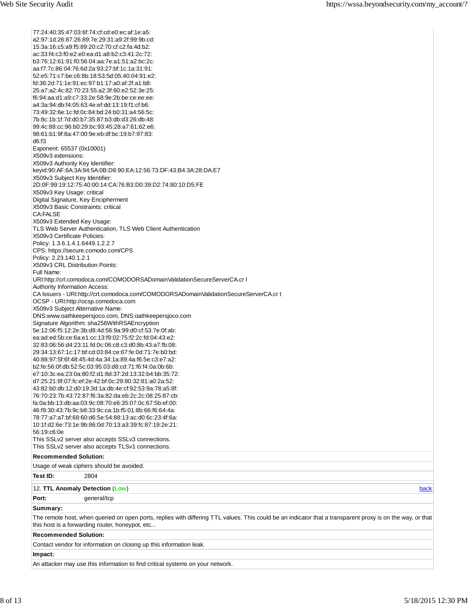12. **TTL Anomaly Detection** (**Low**) back 77:24:40:35:47:03:6f:74:cf:cd:e0:ec:af:1e:a5: a2:97:1d:26:87:26:89:7e:29:31:a9:2f:99:9b:cd: 15:3a:16:c5:a9:f5:89:20:c2:70:cf:c2:fa:4d:b2: ac:33:f4:c3:f0:e2:e0:ea:d1:a8:b2:c3:41:2c:72: b3:76:12:61:91:f0:56:04:aa:7e:a1:51:a2:bc:2c: aa:f7:7c:86:04:76:6d:2a:93:27:bf:1c:1a:31:91: 52:e5:71:c7:be:c6:8b:18:53:5d:05:40:04:91:e2: fd:36:2d:71:1e:91:ec:97:b1:17:a0:af:2f:a1:b8: 25:a7:a2:4c:82:70:23:55:a2:3f:60:e2:52:3e:25: f6:94:aa:d1:a9:c7:33:2e:58:9e:2b:be:ce:ee:ee: a4:3a:94:db:f4:05:63:4e:ef:dd:13:19:f1:cf:b6: 73:49:32:6e:1c:fd:0c:84:bd:24:b0:31:a4:56:5c: 7b:8c:1b:1f:7d:d0:b7:35:87:b3:db:d3:26:db:48: 99:4c:88:cc:96:b0:29:bc:93:45:28:a7:61:62:e6: 98:61:b1:9f:8a:47:00:9e:eb:df:bc:19:b7:97:83: d6:f3 Exponent: 65537 (0x10001) X509v3 extensions: X509v3 Authority Key Identifier: keyid:90:AF:6A:3A:94:5A:0B:D8:90:EA:12:56:73:DF:43:B4:3A:28:DA:E7 X509v3 Subject Key Identifier: 2D:0F:99:19:12:75:40:00:14:CA:76:B3:D0:39:D2:74:80:10:D5:FE X509v3 Key Usage: critical Digital Signature, Key Encipherment X509v3 Basic Constraints: critical CA:FALSE X509v3 Extended Key Usage: TLS Web Server Authentication, TLS Web Client Authentication X509v3 Certificate Policies: Policy: 1.3.6.1.4.1.6449.1.2.2.7 CPS: https://secure.comodo.com/CPS Policy: 2.23.140.1.2.1 X509v3 CRL Distribution Points: Full Name: URI:http://crl.comodoca.com/COMODORSADomainValidationSecureServerCA.cr l Authority Information Access: CA Issuers - URI:http://crt.comodoca.com/COMODORSADomainValidationSecureServerCA.cr t OCSP - URI:http://ocsp.comodoca.com X509v3 Subject Alternative Name: DNS:www.oathkeepersjoco.com, DNS:oathkeepersjoco.com Signature Algorithm: sha256WithRSAEncryption 5e:12:06:f5:12:2e:3b:d8:4d:56:9a:99:d0:cf:53:7e:0f:ab: ea:ad:ed:5b:ce:6a:e1:cc:13:f9:02:75:f2:2c:fd:04:43:e2: 32:83:06:56:d4:23:11:fd:0c:06:c8:c3:d0:8b:43:a7:fb:08: 29:34:13:67:1c:17:bf:cd:03:84:ce:67:fe:0d:71:7e:b0:bd: 40:88:97:5f:6f:48:45:4d:4a:34:1a:89:4a:f6:5e:c3:e7:a2: b2:fe:56:0f:db:52:5c:03:95:03:d8:cd:71:f6:f4:0a:0b:6b: e7:10:3c:ea:23:0a:80:f2:d1:8d:37:2d:13:32:b4:bb:35:72: d7:25:21:8f:07:fc:ef:2e:42:bf:0c:29:80:32:81:a0:2a:52: 43:82:b0:db:12:d0:19:3d:1a:db:4e:cf:92:53:9a:78:a5:8f: 76:70:23:7b:43:72:87:f6:3a:82:da:eb:2c:2c:08:25:87:cb: fa:0a:bb:13:db:aa:03:9c:08:70:e6:35:07:0c:67:5b:ef:00: 46:f9:30:43:7b:9c:b8:33:9c:ca:1b:f5:01:8b:66:f6:64:4a: 78:77:a7:a7:bf:68:60:d6:5e:54:88:13:ac:d0:6c:23:4f:6a: 10:1f:d2:6e:73:1e:9b:86:0d:70:13:a3:39:fc:87:19:2e:21: 56:19:c6:0e This SSLv2 server also accepts SSLv3 connections. This SSLv2 server also accepts TLSv1 connections. **Recommended Solution:** Usage of weak ciphers should be avoided. **Test ID:** 2804 **Port:** general/tcp **Summary:** The remote host, when queried on open ports, replies with differing TTL values. This could be an indicator that a transparent proxy is on the way, or that this host is a forwarding router, honeypot, etc... **Recommended Solution:** Contact vendor for information on closing up this information leak. **Impact:** An attacker may use this information to find critical systems on your network.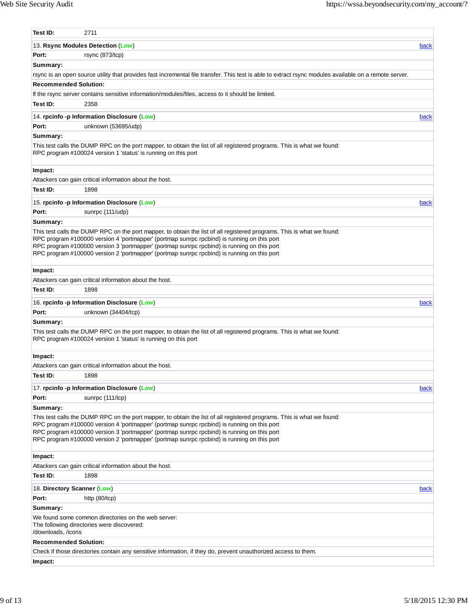| Test ID:                       | 2711                                                                                                                                                                                                                                                                                                                                                                                                                |      |
|--------------------------------|---------------------------------------------------------------------------------------------------------------------------------------------------------------------------------------------------------------------------------------------------------------------------------------------------------------------------------------------------------------------------------------------------------------------|------|
|                                | 13. Rsync Modules Detection (Low)                                                                                                                                                                                                                                                                                                                                                                                   | back |
| Port:                          | rsync (873/tcp)                                                                                                                                                                                                                                                                                                                                                                                                     |      |
| Summary:                       |                                                                                                                                                                                                                                                                                                                                                                                                                     |      |
|                                | rsync is an open source utility that provides fast incremental file transfer. This test is able to extract rsync modules available on a remote server.                                                                                                                                                                                                                                                              |      |
| <b>Recommended Solution:</b>   |                                                                                                                                                                                                                                                                                                                                                                                                                     |      |
|                                | If the rsync server contains sensitive information/modules/files, access to it should be limited.                                                                                                                                                                                                                                                                                                                   |      |
| Test ID:                       | 2358                                                                                                                                                                                                                                                                                                                                                                                                                |      |
|                                | 14. rpcinfo -p Information Disclosure (Low)                                                                                                                                                                                                                                                                                                                                                                         | back |
| Port:                          | unknown (53695/udp)                                                                                                                                                                                                                                                                                                                                                                                                 |      |
| Summary:                       |                                                                                                                                                                                                                                                                                                                                                                                                                     |      |
|                                | This test calls the DUMP RPC on the port mapper, to obtain the list of all registered programs. This is what we found:<br>RPC program #100024 version 1 'status' is running on this port                                                                                                                                                                                                                            |      |
| Impact:                        |                                                                                                                                                                                                                                                                                                                                                                                                                     |      |
|                                | Attackers can gain critical information about the host.                                                                                                                                                                                                                                                                                                                                                             |      |
| Test ID:                       | 1898                                                                                                                                                                                                                                                                                                                                                                                                                |      |
|                                | 15. rpcinfo -p Information Disclosure (Low)                                                                                                                                                                                                                                                                                                                                                                         | back |
| Port:                          | sunrpc (111/udp)                                                                                                                                                                                                                                                                                                                                                                                                    |      |
| Summary:                       |                                                                                                                                                                                                                                                                                                                                                                                                                     |      |
|                                | This test calls the DUMP RPC on the port mapper, to obtain the list of all registered programs. This is what we found:<br>RPC program #100000 version 4 'portmapper' (portmap sunrpc rpcbind) is running on this port<br>RPC program #100000 version 3 'portmapper' (portmap sunrpc rpcbind) is running on this port<br>RPC program #100000 version 2 'portmapper' (portmap sunrpc rpcbind) is running on this port |      |
| Impact:                        |                                                                                                                                                                                                                                                                                                                                                                                                                     |      |
|                                | Attackers can gain critical information about the host.                                                                                                                                                                                                                                                                                                                                                             |      |
| Test ID:                       | 1898                                                                                                                                                                                                                                                                                                                                                                                                                |      |
|                                | 16. rpcinfo -p Information Disclosure (Low)                                                                                                                                                                                                                                                                                                                                                                         | back |
| Port:                          | unknown (34404/tcp)                                                                                                                                                                                                                                                                                                                                                                                                 |      |
| Summary:                       |                                                                                                                                                                                                                                                                                                                                                                                                                     |      |
|                                | This test calls the DUMP RPC on the port mapper, to obtain the list of all registered programs. This is what we found:<br>RPC program #100024 version 1 'status' is running on this port                                                                                                                                                                                                                            |      |
| Impact:                        |                                                                                                                                                                                                                                                                                                                                                                                                                     |      |
|                                | Attackers can gain critical information about the host.                                                                                                                                                                                                                                                                                                                                                             |      |
| Test ID:                       | 1898                                                                                                                                                                                                                                                                                                                                                                                                                |      |
|                                | 17. rpcinfo -p Information Disclosure (Low)                                                                                                                                                                                                                                                                                                                                                                         | back |
| Port:                          | sunrpc (111/tcp)                                                                                                                                                                                                                                                                                                                                                                                                    |      |
| Summary:                       |                                                                                                                                                                                                                                                                                                                                                                                                                     |      |
|                                | This test calls the DUMP RPC on the port mapper, to obtain the list of all registered programs. This is what we found:<br>RPC program #100000 version 4 'portmapper' (portmap sunrpc rpcbind) is running on this port<br>RPC program #100000 version 3 'portmapper' (portmap sunrpc rpcbind) is running on this port<br>RPC program #100000 version 2 'portmapper' (portmap sunrpc rpcbind) is running on this port |      |
| Impact:                        |                                                                                                                                                                                                                                                                                                                                                                                                                     |      |
|                                | Attackers can gain critical information about the host.                                                                                                                                                                                                                                                                                                                                                             |      |
| Test ID:                       | 1898                                                                                                                                                                                                                                                                                                                                                                                                                |      |
| 18. Directory Scanner (Low)    |                                                                                                                                                                                                                                                                                                                                                                                                                     | back |
| Port:                          | http (80/tcp)                                                                                                                                                                                                                                                                                                                                                                                                       |      |
|                                |                                                                                                                                                                                                                                                                                                                                                                                                                     |      |
|                                |                                                                                                                                                                                                                                                                                                                                                                                                                     |      |
| Summary:<br>/downloads, /icons | We found some common directories on the web server:<br>The following directories were discovered:                                                                                                                                                                                                                                                                                                                   |      |
| <b>Recommended Solution:</b>   |                                                                                                                                                                                                                                                                                                                                                                                                                     |      |
|                                | Check if those directories contain any sensitive information, if they do, prevent unauthorized access to them.                                                                                                                                                                                                                                                                                                      |      |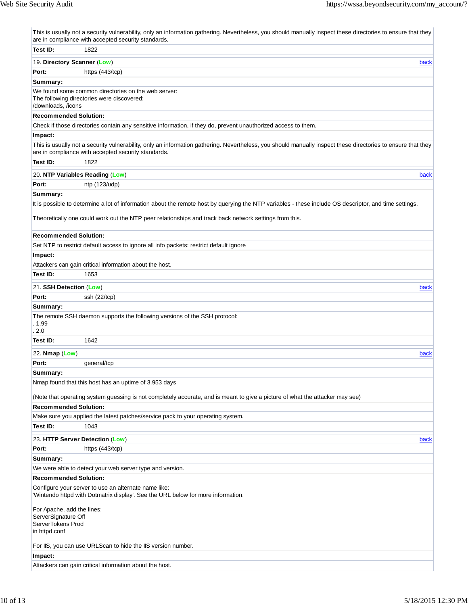|                                                                                         | This is usually not a security vulnerability, only an information gathering. Nevertheless, you should manually inspect these directories to ensure that they<br>are in compliance with accepted security standards. |
|-----------------------------------------------------------------------------------------|---------------------------------------------------------------------------------------------------------------------------------------------------------------------------------------------------------------------|
| Test ID:                                                                                | 1822                                                                                                                                                                                                                |
| 19. Directory Scanner (Low)                                                             | back                                                                                                                                                                                                                |
| Port:                                                                                   | https $(443/1$ tcp $)$                                                                                                                                                                                              |
| Summary:                                                                                |                                                                                                                                                                                                                     |
| /downloads, /icons                                                                      | We found some common directories on the web server:<br>The following directories were discovered:                                                                                                                   |
| <b>Recommended Solution:</b>                                                            |                                                                                                                                                                                                                     |
|                                                                                         | Check if those directories contain any sensitive information, if they do, prevent unauthorized access to them.                                                                                                      |
| Impact:                                                                                 |                                                                                                                                                                                                                     |
|                                                                                         | This is usually not a security vulnerability, only an information gathering. Nevertheless, you should manually inspect these directories to ensure that they<br>are in compliance with accepted security standards. |
| Test ID:                                                                                | 1822                                                                                                                                                                                                                |
|                                                                                         | 20. NTP Variables Reading (Low)<br>back                                                                                                                                                                             |
| Port:                                                                                   | ntp (123/udp)                                                                                                                                                                                                       |
| Summary:                                                                                |                                                                                                                                                                                                                     |
|                                                                                         | It is possible to determine a lot of information about the remote host by querying the NTP variables - these include OS descriptor, and time settings.                                                              |
|                                                                                         | Theoretically one could work out the NTP peer relationships and track back network settings from this.                                                                                                              |
| <b>Recommended Solution:</b>                                                            |                                                                                                                                                                                                                     |
|                                                                                         | Set NTP to restrict default access to ignore all info packets: restrict default ignore                                                                                                                              |
| Impact:                                                                                 |                                                                                                                                                                                                                     |
|                                                                                         | Attackers can gain critical information about the host.                                                                                                                                                             |
| Test ID:                                                                                | 1653                                                                                                                                                                                                                |
| 21. SSH Detection (Low)                                                                 | back                                                                                                                                                                                                                |
| Port:                                                                                   | ssh (22/tcp)                                                                                                                                                                                                        |
| Summary:                                                                                |                                                                                                                                                                                                                     |
| . 1.99<br>2.0                                                                           | The remote SSH daemon supports the following versions of the SSH protocol:                                                                                                                                          |
| Test ID:                                                                                | 1642                                                                                                                                                                                                                |
| 22. Nmap (Low)                                                                          | back                                                                                                                                                                                                                |
| Port:                                                                                   | general/tcp                                                                                                                                                                                                         |
| Summary:                                                                                |                                                                                                                                                                                                                     |
|                                                                                         | Nmap found that this host has an uptime of 3.953 days                                                                                                                                                               |
|                                                                                         |                                                                                                                                                                                                                     |
|                                                                                         | (Note that operating system guessing is not completely accurate, and is meant to give a picture of what the attacker may see)                                                                                       |
| <b>Recommended Solution:</b>                                                            |                                                                                                                                                                                                                     |
|                                                                                         | Make sure you applied the latest patches/service pack to your operating system.                                                                                                                                     |
| Test ID:                                                                                | 1043                                                                                                                                                                                                                |
|                                                                                         | 23. HTTP Server Detection (Low)<br>back                                                                                                                                                                             |
| Port:                                                                                   | https (443/tcp)                                                                                                                                                                                                     |
| Summary:                                                                                |                                                                                                                                                                                                                     |
|                                                                                         | We were able to detect your web server type and version.                                                                                                                                                            |
| <b>Recommended Solution:</b>                                                            |                                                                                                                                                                                                                     |
|                                                                                         | Configure your server to use an alternate name like:<br>'Wintendo httpd with Dotmatrix display'. See the URL below for more information.                                                                            |
| For Apache, add the lines:<br>ServerSignature Off<br>ServerTokens Prod<br>in httpd.conf |                                                                                                                                                                                                                     |
|                                                                                         | For IIS, you can use URLScan to hide the IIS version number.                                                                                                                                                        |
| Impact:                                                                                 |                                                                                                                                                                                                                     |
|                                                                                         | Attackers can gain critical information about the host.                                                                                                                                                             |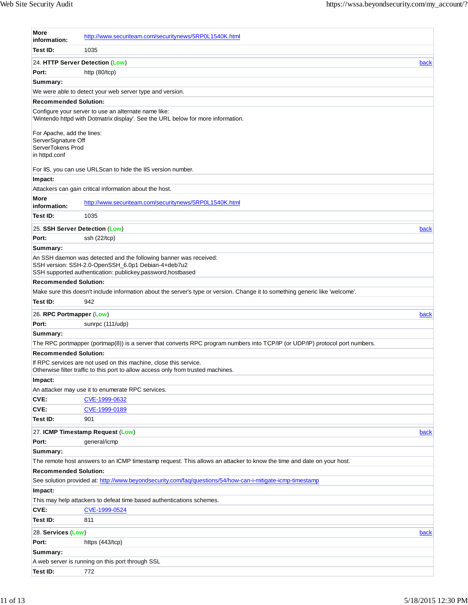| More<br>information:                                                   | http://www.securiteam.com/securitynews/5RP0L1540K.html                                                                                                                                |      |
|------------------------------------------------------------------------|---------------------------------------------------------------------------------------------------------------------------------------------------------------------------------------|------|
| Test ID:                                                               | 1035                                                                                                                                                                                  |      |
| 24. HTTP Server Detection (Low)                                        |                                                                                                                                                                                       | back |
| Port:                                                                  | http (80/tcp)                                                                                                                                                                         |      |
| Summary:                                                               |                                                                                                                                                                                       |      |
|                                                                        | We were able to detect your web server type and version.                                                                                                                              |      |
| <b>Recommended Solution:</b>                                           |                                                                                                                                                                                       |      |
|                                                                        | Configure your server to use an alternate name like:<br>'Wintendo httpd with Dotmatrix display'. See the URL below for more information.                                              |      |
| For Apache, add the lines:<br>ServerSignature Off<br>ServerTokens Prod |                                                                                                                                                                                       |      |
| in httpd.conf                                                          |                                                                                                                                                                                       |      |
|                                                                        | For IIS, you can use URLScan to hide the IIS version number.                                                                                                                          |      |
| Impact:                                                                |                                                                                                                                                                                       |      |
|                                                                        | Attackers can gain critical information about the host.                                                                                                                               |      |
| More<br>information:                                                   | http://www.securiteam.com/securitynews/5RP0L1540K.html                                                                                                                                |      |
| Test ID:                                                               | 1035                                                                                                                                                                                  |      |
| 25. SSH Server Detection (Low)                                         |                                                                                                                                                                                       | back |
| Port:                                                                  | ssh (22/tcp)                                                                                                                                                                          |      |
| Summary:                                                               |                                                                                                                                                                                       |      |
|                                                                        | An SSH daemon was detected and the following banner was received:<br>SSH version: SSH-2.0-OpenSSH_6.0p1 Debian-4+deb7u2<br>SSH supported authentication: publickey,password,hostbased |      |
| <b>Recommended Solution:</b>                                           |                                                                                                                                                                                       |      |
|                                                                        | Make sure this doesn't include information about the server's type or version. Change it to something generic like 'welcome'.                                                         |      |
| Test ID:                                                               | 942                                                                                                                                                                                   |      |
| 26. RPC Portmapper (Low)                                               |                                                                                                                                                                                       | back |
| Port:                                                                  | sunrpc (111/udp)                                                                                                                                                                      |      |
| Summary:                                                               |                                                                                                                                                                                       |      |
|                                                                        | The RPC portmapper (portmap(8)) is a server that converts RPC program numbers into TCP/IP (or UDP/IP) protocol port numbers.                                                          |      |
| <b>Recommended Solution:</b>                                           |                                                                                                                                                                                       |      |
|                                                                        | If RPC services are not used on this machine, close this service.<br>Otherwise filter traffic to this port to allow access only from trusted machines.                                |      |
| Impact:                                                                |                                                                                                                                                                                       |      |
|                                                                        | An attacker may use it to enumerate RPC services.                                                                                                                                     |      |
| CVE:                                                                   | CVE-1999-0632                                                                                                                                                                         |      |
| CVE:                                                                   | CVE-1999-0189                                                                                                                                                                         |      |
| Test ID:                                                               | 901                                                                                                                                                                                   |      |
|                                                                        | 27. ICMP Timestamp Request (Low)                                                                                                                                                      | back |
| Port:                                                                  | general/icmp                                                                                                                                                                          |      |
| Summary:                                                               |                                                                                                                                                                                       |      |
|                                                                        | The remote host answers to an ICMP timestamp request. This allows an attacker to know the time and date on your host.                                                                 |      |
| <b>Recommended Solution:</b>                                           |                                                                                                                                                                                       |      |
|                                                                        | See solution provided at: http://www.beyondsecurity.com/faq/questions/54/how-can-i-mitigate-icmp-timestamp                                                                            |      |
| Impact:                                                                |                                                                                                                                                                                       |      |
|                                                                        | This may help attackers to defeat time based authentications schemes.                                                                                                                 |      |
| CVE:                                                                   | CVE-1999-0524                                                                                                                                                                         |      |
| Test ID:                                                               | 811                                                                                                                                                                                   |      |
| 28. Services (Low)                                                     |                                                                                                                                                                                       | back |
| Port:                                                                  | https (443/tcp)                                                                                                                                                                       |      |
| Summary:                                                               |                                                                                                                                                                                       |      |
|                                                                        | A web server is running on this port through SSL                                                                                                                                      |      |
| Test ID:                                                               | 772                                                                                                                                                                                   |      |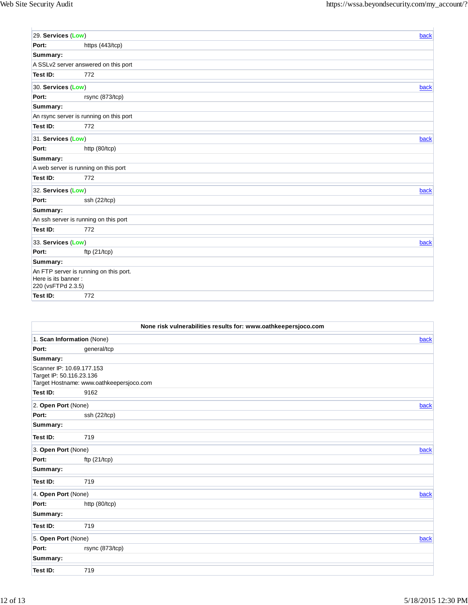| 29. Services (Low)                        |                                         | back |
|-------------------------------------------|-----------------------------------------|------|
| Port:                                     | https (443/tcp)                         |      |
| Summary:                                  |                                         |      |
|                                           | A SSLv2 server answered on this port    |      |
| Test ID:                                  | 772                                     |      |
| 30. Services (Low)                        |                                         | back |
| Port:                                     | rsync (873/tcp)                         |      |
| Summary:                                  |                                         |      |
|                                           | An rsync server is running on this port |      |
| Test ID:                                  | 772                                     |      |
| 31. Services (Low)                        |                                         | back |
| Port:                                     | http (80/tcp)                           |      |
| Summary:                                  |                                         |      |
|                                           | A web server is running on this port    |      |
| Test ID:                                  | 772                                     |      |
| 32. Services (Low)                        |                                         | back |
| Port:                                     | ssh (22/tcp)                            |      |
| Summary:                                  |                                         |      |
|                                           | An ssh server is running on this port   |      |
| Test ID:                                  | 772                                     |      |
| 33. Services (Low)                        |                                         | back |
| Port:                                     | ftp $(21/1)$                            |      |
| Summary:                                  |                                         |      |
| Here is its banner:<br>220 (vsFTPd 2.3.5) | An FTP server is running on this port.  |      |
| Test ID:                                  | 772                                     |      |

| None risk vulnerabilities results for: www.oathkeepersjoco.com |                                          |      |
|----------------------------------------------------------------|------------------------------------------|------|
| 1. Scan Information (None)                                     |                                          | back |
| Port:                                                          | general/tcp                              |      |
| Summary:                                                       |                                          |      |
| Scanner IP: 10.69.177.153                                      |                                          |      |
| Target IP: 50.116.23.136                                       |                                          |      |
|                                                                | Target Hostname: www.oathkeepersjoco.com |      |
| Test ID:                                                       | 9162                                     |      |
| 2. Open Port (None)                                            |                                          | back |
| Port:                                                          | ssh (22/tcp)                             |      |
| Summary:                                                       |                                          |      |
| Test ID:                                                       | 719                                      |      |
| 3. Open Port (None)                                            |                                          | back |
| Port:                                                          | ftp $(21/tcp)$                           |      |
| Summary:                                                       |                                          |      |
| Test ID:                                                       | 719                                      |      |
| 4. Open Port (None)                                            |                                          | back |
| Port:                                                          | http (80/tcp)                            |      |
| Summary:                                                       |                                          |      |
| Test ID:                                                       | 719                                      |      |
| 5. Open Port (None)                                            |                                          | back |
| Port:                                                          | rsync (873/tcp)                          |      |
| Summary:                                                       |                                          |      |
| Test ID:                                                       | 719                                      |      |